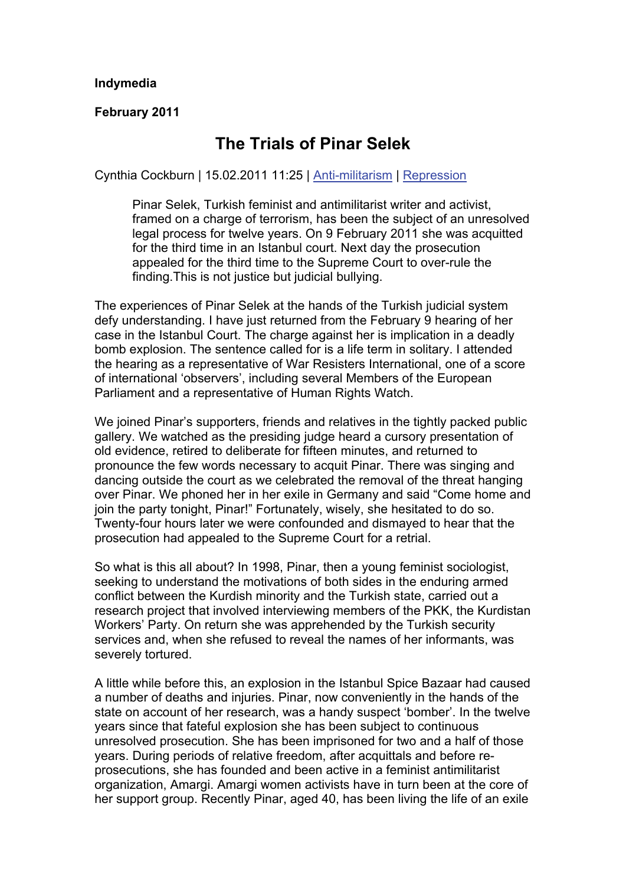## **Indymedia**

**February 2011** 

## **The Trials of Pinar Selek**

Cynthia Cockburn | 15.02.2011 11:25 | [Anti-militarism](https://www.indymedia.org.uk/en/topics/anti-militarism/) | [Repression](https://www.indymedia.org.uk/en/topics/repression/) 

Pinar Selek, Turkish feminist and antimilitarist writer and activist, framed on a charge of terrorism, has been the subject of an unresolved legal process for twelve years. On 9 February 2011 she was acquitted for the third time in an Istanbul court. Next day the prosecution appealed for the third time to the Supreme Court to over-rule the finding.This is not justice but judicial bullying.

The experiences of Pinar Selek at the hands of the Turkish judicial system defy understanding. I have just returned from the February 9 hearing of her case in the Istanbul Court. The charge against her is implication in a deadly bomb explosion. The sentence called for is a life term in solitary. I attended the hearing as a representative of War Resisters International, one of a score of international 'observers', including several Members of the European Parliament and a representative of Human Rights Watch.

We joined Pinar's supporters, friends and relatives in the tightly packed public gallery. We watched as the presiding judge heard a cursory presentation of old evidence, retired to deliberate for fifteen minutes, and returned to pronounce the few words necessary to acquit Pinar. There was singing and dancing outside the court as we celebrated the removal of the threat hanging over Pinar. We phoned her in her exile in Germany and said "Come home and join the party tonight, Pinar!" Fortunately, wisely, she hesitated to do so. Twenty-four hours later we were confounded and dismayed to hear that the prosecution had appealed to the Supreme Court for a retrial.

So what is this all about? In 1998, Pinar, then a young feminist sociologist, seeking to understand the motivations of both sides in the enduring armed conflict between the Kurdish minority and the Turkish state, carried out a research project that involved interviewing members of the PKK, the Kurdistan Workers' Party. On return she was apprehended by the Turkish security services and, when she refused to reveal the names of her informants, was severely tortured.

A little while before this, an explosion in the Istanbul Spice Bazaar had caused a number of deaths and injuries. Pinar, now conveniently in the hands of the state on account of her research, was a handy suspect 'bomber'. In the twelve years since that fateful explosion she has been subject to continuous unresolved prosecution. She has been imprisoned for two and a half of those years. During periods of relative freedom, after acquittals and before reprosecutions, she has founded and been active in a feminist antimilitarist organization, Amargi. Amargi women activists have in turn been at the core of her support group. Recently Pinar, aged 40, has been living the life of an exile